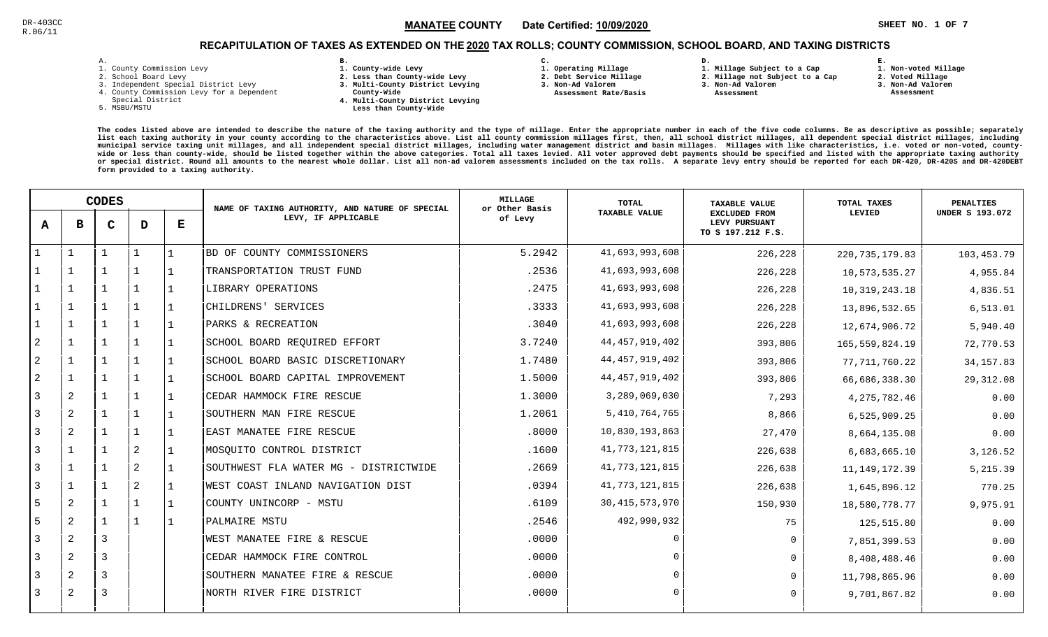### Channel State of the COUNTY State of the Country State of the State of the State of the State of the State of T MANATEE CO

## RECAPITULATION OF TAXES AS EXTENDED ON THE <u>2020</u> TAX ROLLS; COUNTY COMMISSION, SCHOOL BOARD, AND TAXING DISTRICTS

| – | ٠ |  |  |
|---|---|--|--|

- 1. County Commission Levy
- 2. School Board Levy
- 3. Independent Special District Levy
- 4. County Commission Levy for a Dependent
- Special District
- 5. MSBU/MSTU
- **B. 1. County-wide Levy**
- **2. Less than County-wide Levy**
- **3. Multi-County District Levying**
- **County-Wide** 
	- **4. Multi-County District Levying Less than County-Wide**
- **C.**
- **1. Operating Millage**
- **2. Debt Service Millage 3. Non-Ad Valorem**
- **Assessment Rate/Basis**
- **2. Millage not Subject to a Cap**

**D.** 

- **3. Non-Ad Valorem**
	- **Assessment**

**1. Millage Subject to a Cap**

 **1. Non-voted Millage2. Voted Millage**

**E.**

- **3. Non-Ad Valorem**
- **Assessment**

|                | <b>CODES</b>   |   |              | NAME OF TAXING AUTHORITY, AND NATURE OF SPECIAL | <b>MILLAGE</b><br>or Other Basis      | <b>TOTAL</b> | <b>TAXABLE VALUE</b> | TOTAL TAXES                                                | <b>PENALTIES</b><br><b>UNDER S 193.072</b> |            |
|----------------|----------------|---|--------------|-------------------------------------------------|---------------------------------------|--------------|----------------------|------------------------------------------------------------|--------------------------------------------|------------|
| A              | в              | C | D            | $\bf E$                                         | LEVY, IF APPLICABLE                   | of Levy      | <b>TAXABLE VALUE</b> | <b>EXCLUDED FROM</b><br>LEVY PURSUANT<br>TO S 197.212 F.S. | LEVIED                                     |            |
|                |                |   | $\mathbf{1}$ |                                                 | BD OF COUNTY COMMISSIONERS            | 5.2942       | 41,693,993,608       | 226,228                                                    | 220, 735, 179.83                           | 103,453.79 |
|                |                |   | 1            |                                                 | TRANSPORTATION TRUST FUND             | .2536        | 41,693,993,608       | 226,228                                                    | 10,573,535.27                              | 4,955.84   |
|                |                |   | $\mathbf 1$  |                                                 | LIBRARY OPERATIONS                    | .2475        | 41,693,993,608       | 226,228                                                    | 10, 319, 243. 18                           | 4,836.51   |
|                |                |   | $\mathbf 1$  |                                                 | CHILDRENS' SERVICES                   | .3333        | 41,693,993,608       | 226,228                                                    | 13,896,532.65                              | 6, 513.01  |
|                |                |   | $\mathbf 1$  |                                                 | PARKS & RECREATION                    | .3040        | 41,693,993,608       | 226,228                                                    | 12,674,906.72                              | 5,940.40   |
| 2              | $\mathbf{1}$   |   | $\mathbf 1$  |                                                 | SCHOOL BOARD REQUIRED EFFORT          | 3.7240       | 44, 457, 919, 402    | 393,806                                                    | 165,559,824.19                             | 72,770.53  |
| 2              |                |   | $\mathbf{1}$ |                                                 | SCHOOL BOARD BASIC DISCRETIONARY      | 1.7480       | 44, 457, 919, 402    | 393,806                                                    | 77, 711, 760.22                            | 34, 157.83 |
| 2              |                |   | $\mathbf 1$  |                                                 | SCHOOL BOARD CAPITAL IMPROVEMENT      | 1.5000       | 44, 457, 919, 402    | 393,806                                                    | 66,686,338.30                              | 29,312.08  |
| 3              | 2              |   | $\mathbf 1$  |                                                 | CEDAR HAMMOCK FIRE RESCUE             | 1.3000       | 3,289,069,030        | 7,293                                                      | 4, 275, 782.46                             | 0.00       |
| $\overline{3}$ | $\overline{2}$ |   | $\mathbf{1}$ |                                                 | SOUTHERN MAN FIRE RESCUE              | 1.2061       | 5,410,764,765        | 8,866                                                      | 6,525,909.25                               | 0.00       |
| $\overline{3}$ | 2              |   | $\mathbf{1}$ |                                                 | EAST MANATEE FIRE RESCUE              | .8000        | 10,830,193,863       | 27,470                                                     | 8,664,135.08                               | 0.00       |
| 3              |                |   | $\sqrt{2}$   |                                                 | MOSQUITO CONTROL DISTRICT             | .1600        | 41,773,121,815       | 226,638                                                    | 6,683,665.10                               | 3,126.52   |
| $\overline{3}$ |                |   | $\mathbf{2}$ |                                                 | SOUTHWEST FLA WATER MG - DISTRICTWIDE | .2669        | 41, 773, 121, 815    | 226,638                                                    | 11, 149, 172.39                            | 5,215.39   |
| 3              |                |   | 2            |                                                 | WEST COAST INLAND NAVIGATION DIST     | .0394        | 41,773,121,815       | 226,638                                                    | 1,645,896.12                               | 770.25     |
| 5              | 2              |   | $\mathbf 1$  |                                                 | COUNTY UNINCORP - MSTU                | .6109        | 30, 415, 573, 970    | 150,930                                                    | 18,580,778.77                              | 9,975.91   |
| 5              | $\overline{2}$ |   | $\mathbf{1}$ | $\mathbf{1}$                                    | PALMAIRE MSTU                         | .2546        | 492,990,932          | 75                                                         | 125,515.80                                 | 0.00       |
| 3              | $\overline{2}$ | 3 |              |                                                 | WEST MANATEE FIRE & RESCUE            | .0000        | $\Omega$             | $\mathbf 0$                                                | 7,851,399.53                               | 0.00       |
| 3              | $\overline{2}$ | 3 |              |                                                 | CEDAR HAMMOCK FIRE CONTROL            | .0000        | $\Omega$             | $\Omega$                                                   | 8,408,488.46                               | 0.00       |
| 3              | $\overline{2}$ | 3 |              |                                                 | SOUTHERN MANATEE FIRE & RESCUE        | .0000        | $\Omega$             | $\Omega$                                                   | 11,798,865.96                              | 0.00       |
| 3              | 2              | 3 |              |                                                 | NORTH RIVER FIRE DISTRICT             | .0000        | $\Omega$             | $\Omega$                                                   | 9,701,867.82                               | 0.00       |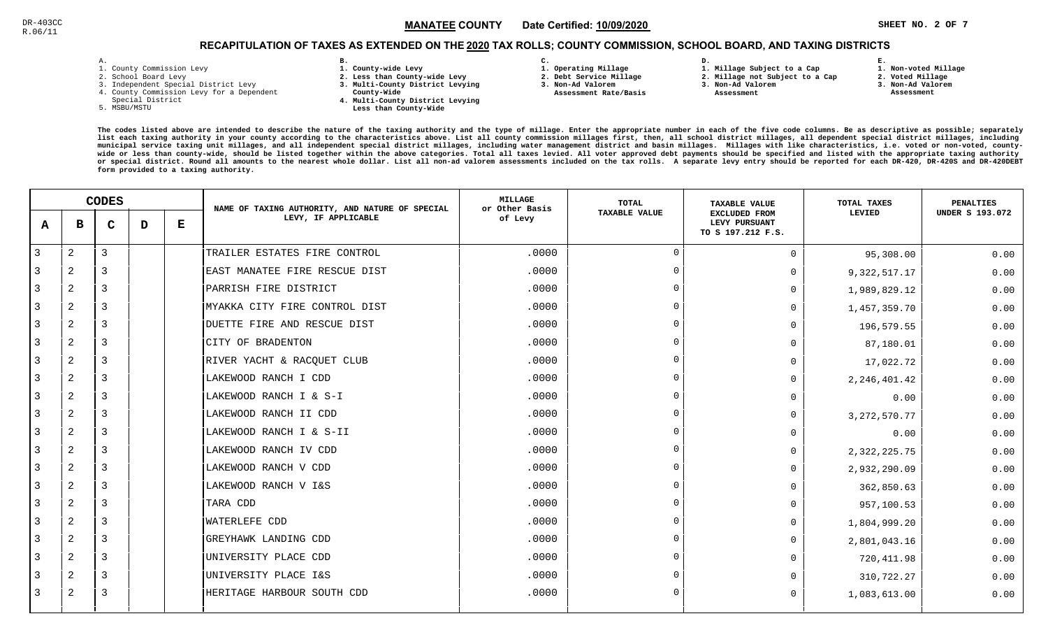### Channel 2001 - Separate Mand The Country Channel Country Channel 2 and the Country Channel State of the Manual Sheet and Sheet and Sheet and Sheet and Sheet and Sheet and Sheet and Sheet and Sheet and Sheet and Sheet and S MANATEE CO

**1. Non-voted Millage**

## RECAPITULATION OF TAXES AS EXTENDED ON THE <u>2020</u> TAX ROLLS; COUNTY COMMISSION, SCHOOL BOARD, AND TAXING DISTRICTS

| $\overline{\phantom{a}}$ | ۰ |  |  |
|--------------------------|---|--|--|

- 1. County Commission Levy
- 2. School Board Levy
- 3. Independent Special District Levy
- 4. County Commission Levy for a Dependent
- Special District
- 5. MSBU/MSTU
- **B. 1. County-wide Levy**
- **2. Less than County-wide Levy**
- **3. Multi-County District Levying**
- **County-Wide** 
	- **4. Multi-County District Levying Less than County-Wide**
- **C. 3. Non-Ad Valorem**

**2. Debt Service Millage** 

 **Assessment Rate/Basis**

- **1. Operating Millage**
- **1. Millage Subject to a Cap**

**D.** 

- **2. Millage not Subject to a Cap**
- **3. Non-Ad Valorem**
	- **Assessment**
- **2. Voted Millage**

**E.**

- **3. Non-Ad Valorem**
	- **Assessment**

|                | <b>CODES</b> |   |   | NAME OF TAXING AUTHORITY, AND NATURE OF SPECIAL | MILLAGE<br>or Other Basis     | TOTAL   | <b>TAXABLE VALUE</b> | TOTAL TAXES                                                | PENALTIES      |                        |
|----------------|--------------|---|---|-------------------------------------------------|-------------------------------|---------|----------------------|------------------------------------------------------------|----------------|------------------------|
| A              | в            | C | D | Е                                               | LEVY, IF APPLICABLE           | of Levy | <b>TAXABLE VALUE</b> | <b>EXCLUDED FROM</b><br>LEVY PURSUANT<br>TO S 197.212 F.S. | LEVIED         | <b>UNDER S 193.072</b> |
| $\overline{3}$ | 2            | 3 |   |                                                 | TRAILER ESTATES FIRE CONTROL  | .0000   | $\cap$               | 0                                                          | 95,308.00      | 0.00                   |
| 3              | 2            | 3 |   |                                                 | EAST MANATEE FIRE RESCUE DIST | .0000   | $\Omega$             | $\Omega$                                                   | 9, 322, 517.17 | 0.00                   |
| 3              | 2            | 3 |   |                                                 | PARRISH FIRE DISTRICT         | .0000   | $\cap$               | $\Omega$                                                   | 1,989,829.12   | 0.00                   |
| 3              | 2            | 3 |   |                                                 | MYAKKA CITY FIRE CONTROL DIST | .0000   | $\Omega$             | <sup>n</sup>                                               | 1,457,359.70   | 0.00                   |
| 3              | 2            | 3 |   |                                                 | DUETTE FIRE AND RESCUE DIST   | .0000   | $\Omega$             |                                                            | 196,579.55     | 0.00                   |
| 3              | 2            | 3 |   |                                                 | CITY OF BRADENTON             | .0000   | $\Omega$             | <sup>n</sup>                                               | 87,180.01      | 0.00                   |
| 3              | 2            | 3 |   |                                                 | RIVER YACHT & RACQUET CLUB    | .0000   | $\Omega$             | O                                                          | 17,022.72      | 0.00                   |
| 3              | 2            | 3 |   |                                                 | LAKEWOOD RANCH I CDD          | .0000   | $\cap$               | $\Omega$                                                   | 2, 246, 401.42 | 0.00                   |
| 3              | 2            | 3 |   |                                                 | LAKEWOOD RANCH I & S-I        | .0000   | $\Omega$             | $\Omega$                                                   | 0.00           | 0.00                   |
| 3              | 2            | 3 |   |                                                 | LAKEWOOD RANCH II CDD         | .0000   | $\cap$               | $\Omega$                                                   | 3, 272, 570.77 | 0.00                   |
| 3              | 2            | 3 |   |                                                 | LAKEWOOD RANCH I & S-II       | .0000   | $\Omega$             | <sup>n</sup>                                               | 0.00           | 0.00                   |
| 3              | 2            | 3 |   |                                                 | LAKEWOOD RANCH IV CDD         | .0000   | $\Omega$             | $\Omega$                                                   | 2, 322, 225.75 | 0.00                   |
| 3              | 2            | 3 |   |                                                 | LAKEWOOD RANCH V CDD          | .0000   | $\cap$               | <sup>n</sup>                                               | 2,932,290.09   | 0.00                   |
| 3              | 2            | 3 |   |                                                 | LAKEWOOD RANCH V I&S          | .0000   | $\cap$               | <sup>n</sup>                                               | 362,850.63     | 0.00                   |
| 3              | 2            | 3 |   |                                                 | TARA CDD                      | .0000   | $\cap$               | $\Omega$                                                   | 957,100.53     | 0.00                   |
| 3              | 2            | 3 |   |                                                 | <b>WATERLEFE CDD</b>          | .0000   | $\Omega$             | <sup>n</sup>                                               | 1,804,999.20   | 0.00                   |
| 3              | 2            | 3 |   |                                                 | GREYHAWK LANDING CDD          | .0000   | $\cap$               | $\Omega$                                                   | 2,801,043.16   | 0.00                   |
| 3              | 2            | 3 |   |                                                 | UNIVERSITY PLACE CDD          | .0000   | $\Omega$             |                                                            | 720, 411.98    | 0.00                   |
|                | 2            | 3 |   |                                                 | UNIVERSITY PLACE I&S          | .0000   | $\Omega$             |                                                            | 310,722.27     | 0.00                   |
| 3              | 2            | 3 |   |                                                 | HERITAGE HARBOUR SOUTH CDD    | .0000   | $\cap$               | 0                                                          | 1,083,613.00   | 0.00                   |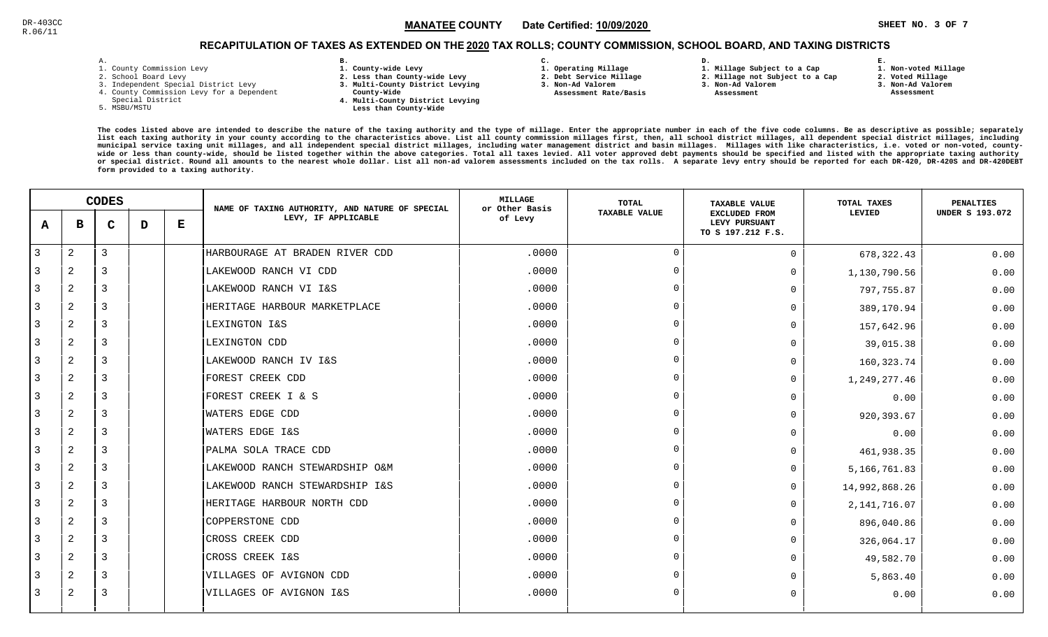### **SHEET NO. 3 OF 7** !"#\$#MANATEE CO

# RECAPITULATION OF TAXES AS EXTENDED ON THE <u>2020</u> TAX ROLLS; COUNTY COMMISSION, SCHOOL BOARD, AND TAXING DISTRICTS

| – | ٠ |  |  |
|---|---|--|--|

- 1. County Commission Levy
- 2. School Board Levy
- 3. Independent Special District Levy
- 4. County Commission Levy for a Dependent
- Special District
- 5. MSBU/MSTU
- **B. 1. County-wide Levy**
- **2. Less than County-wide Levy**
- **3. Multi-County District Levying**
- **County-Wide**
- **4. Multi-County District Levying**
	- **Less than County-Wide**
- **C.**
- **1. Operating Millage**
- **2. Debt Service Millage 3. Non-Ad Valorem**
- **Assessment Rate/Basis**
- **2. Millage not Subject to a Cap3. Non-Ad Valorem**

**D.** 

 **Assessment** 

**1. Millage Subject to a Cap**

- -

**E.**

 **3. Non-Ad Valorem Assessment**

 **1. Non-voted Millage2. Voted Millage**

|                |                | <b>CODES</b> |   |   | NAME OF TAXING AUTHORITY, AND NATURE OF SPECIAL | <b>MILLAGE</b><br>or Other Basis | <b>TOTAL</b>         | <b>TAXABLE VALUE</b>                                       | <b>TOTAL TAXES</b> | <b>PENALTIES</b>       |
|----------------|----------------|--------------|---|---|-------------------------------------------------|----------------------------------|----------------------|------------------------------------------------------------|--------------------|------------------------|
| A              | в              | $\mathbf C$  | D | Е | LEVY, IF APPLICABLE                             | of Levy                          | <b>TAXABLE VALUE</b> | <b>EXCLUDED FROM</b><br>LEVY PURSUANT<br>TO S 197.212 F.S. | LEVIED             | <b>UNDER S 193.072</b> |
| $\overline{3}$ | $\overline{2}$ | 3            |   |   | HARBOURAGE AT BRADEN RIVER CDD                  | .0000                            | $\mathbf 0$          | $\mathbf 0$                                                | 678, 322.43        | 0.00                   |
| 3              | 2              | 3            |   |   | LAKEWOOD RANCH VI CDD                           | .0000                            | $\Omega$             | $\mathbf 0$                                                | 1,130,790.56       | 0.00                   |
| 3              | 2              | 3            |   |   | LAKEWOOD RANCH VI I&S                           | .0000                            | $\Omega$             | $\mathbf 0$                                                | 797,755.87         | 0.00                   |
| 3              | $\overline{2}$ | 3            |   |   | HERITAGE HARBOUR MARKETPLACE                    | .0000                            | $\Omega$             | $\Omega$                                                   | 389,170.94         | 0.00                   |
| 3              | $\overline{2}$ | 3            |   |   | LEXINGTON I&S                                   | .0000                            | $\Omega$             | $\Omega$                                                   | 157,642.96         | 0.00                   |
| 3              | 2              | 3            |   |   | LEXINGTON CDD                                   | .0000                            | $\Omega$             | $\Omega$                                                   | 39,015.38          | 0.00                   |
| 3              | 2              | 3            |   |   | LAKEWOOD RANCH IV I&S                           | .0000                            | $\Omega$             | $\mathbf 0$                                                | 160, 323. 74       | 0.00                   |
| 3              | 2              | 3            |   |   | FOREST CREEK CDD                                | .0000                            | $\Omega$             | $\mathsf{O}$                                               | 1,249,277.46       | 0.00                   |
| 3              | 2              | 3            |   |   | FOREST CREEK I & S                              | .0000                            | $\Omega$             | $\mathbf 0$                                                | 0.00               | 0.00                   |
| 3              | 2              | 3            |   |   | <b>WATERS EDGE CDD</b>                          | .0000                            | $\Omega$             | $\mathbf 0$                                                | 920, 393.67        | 0.00                   |
| 3              | 2              | 3            |   |   | <b>WATERS EDGE I&amp;S</b>                      | .0000                            | $\Omega$             | $\Omega$                                                   | 0.00               | 0.00                   |
| 3              | $\overline{a}$ | 3            |   |   | PALMA SOLA TRACE CDD                            | .0000                            | $\mathbf 0$          | $\mathbf 0$                                                | 461,938.35         | 0.00                   |
| 3              | 2              | 3            |   |   | LAKEWOOD RANCH STEWARDSHIP O&M                  | .0000                            | $\Omega$             | $\Omega$                                                   | 5, 166, 761.83     | 0.00                   |
| 3              | $\overline{a}$ | 3            |   |   | LAKEWOOD RANCH STEWARDSHIP I&S                  | .0000                            | $\Omega$             | $\mathbf 0$                                                | 14,992,868.26      | 0.00                   |
| 3              | 2              | 3            |   |   | HERITAGE HARBOUR NORTH CDD                      | .0000                            | $\Omega$             | $\mathbf 0$                                                | 2, 141, 716.07     | 0.00                   |
| 3              | 2              | 3            |   |   | COPPERSTONE CDD                                 | .0000                            | $\Omega$             | $\mathbf 0$                                                | 896,040.86         | 0.00                   |
| 3              | 2              | 3            |   |   | CROSS CREEK CDD                                 | .0000                            | $\Omega$             | $\mathbf 0$                                                | 326,064.17         | 0.00                   |
| 3              | 2              | 3            |   |   | CROSS CREEK I&S                                 | .0000                            | $\Omega$             | $\mathbf 0$                                                | 49,582.70          | 0.00                   |
| 3              | $\overline{a}$ | 3            |   |   | VILLAGES OF AVIGNON CDD                         | .0000                            | $\Omega$             | $\Omega$                                                   | 5,863.40           | 0.00                   |
| 3              | 2              | 3            |   |   | VILLAGES OF AVIGNON I&S                         | .0000                            | $\Omega$             | $\Omega$                                                   | 0.00               | 0.00                   |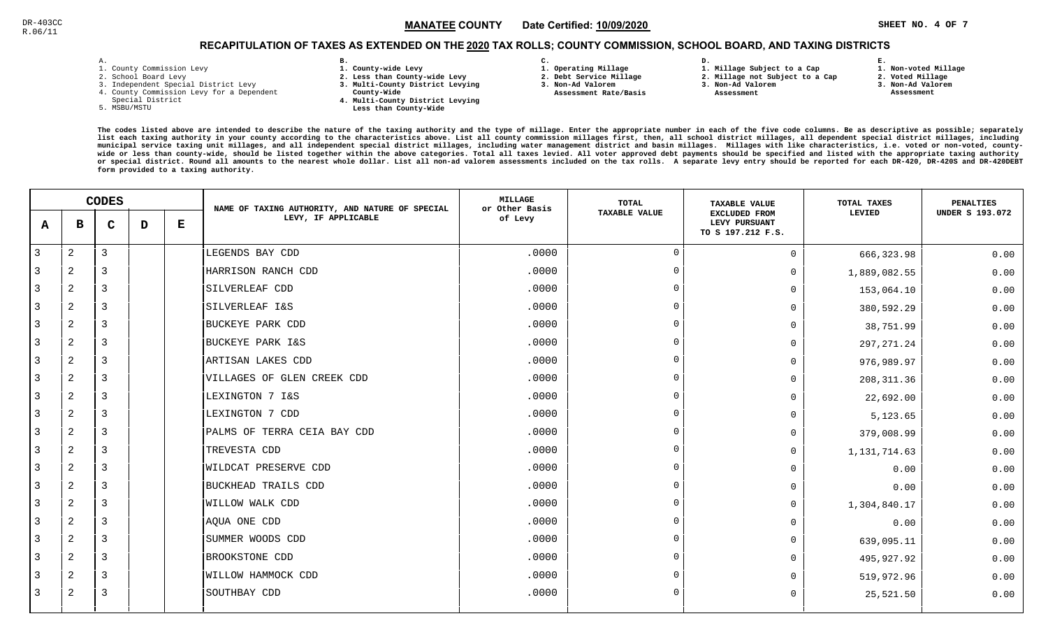### Channel 2001 - Separate Mandridge Country Date Certified: <u>10/09/2020</u> - The Separate States and Sheets No. 4 Of 7 MANATEE CO

**1. Non-voted Millage**

# RECAPITULATION OF TAXES AS EXTENDED ON THE <u>2020</u> TAX ROLLS; COUNTY COMMISSION, SCHOOL BOARD, AND TAXING DISTRICTS

| – | ٠ |  |  |
|---|---|--|--|

- 1. County Commission Levy
- 2. School Board Levy
- 3. Independent Special District Levy
- 4. County Commission Levy for a Dependent
- Special District
- 5. MSBU/MSTU
- **B. 1. County-wide Levy**
- **2. Less than County-wide Levy**
- **3. Multi-County District Levying**
- **County-Wide** 
	- **4. Multi-County District Levying Less than County-Wide**
- **C. 3. Non-Ad Valorem**
- **1. Operating Millage**

**2. Debt Service Millage** 

 **Assessment Rate/Basis**

**1. Millage Subject to a Cap**

**D.** 

- **2. Millage not Subject to a Cap3. Non-Ad Valorem**
	- **Assessment**
- 
- **2. Voted Millage 3. Non-Ad Valorem Assessment**

**E.**

|                | <b>CODES</b>   |             |   | NAME OF TAXING AUTHORITY, AND NATURE OF SPECIAL | <b>MILLAGE</b><br>or Other Basis | TOTAL   | <b>TAXABLE VALUE</b> | TOTAL TAXES                                                | <b>PENALTIES</b> |                        |
|----------------|----------------|-------------|---|-------------------------------------------------|----------------------------------|---------|----------------------|------------------------------------------------------------|------------------|------------------------|
| A              | в              | $\mathbf C$ | D | Е                                               | LEVY, IF APPLICABLE              | of Levy | TAXABLE VALUE        | <b>EXCLUDED FROM</b><br>LEVY PURSUANT<br>TO S 197.212 F.S. | LEVIED           | <b>UNDER S 193.072</b> |
| $\overline{3}$ | 2              | 3           |   |                                                 | LEGENDS BAY CDD                  | .0000   | $\Omega$             | $\Omega$                                                   | 666, 323.98      | 0.00                   |
| 3              | 2              | 3           |   |                                                 | HARRISON RANCH CDD               | .0000   | $\overline{0}$       | $\Omega$                                                   | 1,889,082.55     | 0.00                   |
| 3              | 2              | 3           |   |                                                 | SILVERLEAF CDD                   | .0000   | $\Omega$             | $\Omega$                                                   | 153,064.10       | 0.00                   |
| 3              | $\overline{a}$ | 3           |   |                                                 | SILVERLEAF I&S                   | .0000   | $\overline{0}$       | $\Omega$                                                   | 380,592.29       | 0.00                   |
| 3              | $\overline{a}$ | 3           |   |                                                 | <b>BUCKEYE PARK CDD</b>          | .0000   | $\Omega$             | $\Omega$                                                   | 38,751.99        | 0.00                   |
| 3              | 2              | 3           |   |                                                 | BUCKEYE PARK I&S                 | .0000   | $\Omega$             | 0                                                          | 297, 271.24      | 0.00                   |
| 3              | 2              | 3           |   |                                                 | ARTISAN LAKES CDD                | .0000   | $\Omega$             | $\Omega$                                                   | 976,989.97       | 0.00                   |
| 3              | 2              | 3           |   |                                                 | VILLAGES OF GLEN CREEK CDD       | .0000   | $\Omega$             | $\Omega$                                                   | 208, 311.36      | 0.00                   |
| 3              | 2              | 3           |   |                                                 | LEXINGTON 7 I&S                  | .0000   | $\Omega$             | $\Omega$                                                   | 22,692.00        | 0.00                   |
| 3              | 2              | 3           |   |                                                 | LEXINGTON 7 CDD                  | .0000   | $\Omega$             | $\Omega$                                                   | 5,123.65         | 0.00                   |
| 3              | 2              | 3           |   |                                                 | PALMS OF TERRA CEIA BAY CDD      | .0000   | $\Omega$             | $\Omega$                                                   | 379,008.99       | 0.00                   |
| 3              | 2              | 3           |   |                                                 | TREVESTA CDD                     | .0000   | $\overline{0}$       | $\Omega$                                                   | 1,131,714.63     | 0.00                   |
| 3              | 2              | 3           |   |                                                 | <b>WILDCAT PRESERVE CDD</b>      | .0000   | $\Omega$             | <sup>n</sup>                                               | 0.00             | 0.00                   |
| 3              | 2              | 3           |   |                                                 | BUCKHEAD TRAILS CDD              | .0000   | $\Omega$             | $\Omega$                                                   | 0.00             | 0.00                   |
| 3              | 2              | 3           |   |                                                 | <b>WILLOW WALK CDD</b>           | .0000   | $\overline{0}$       | $\Omega$                                                   | 1,304,840.17     | 0.00                   |
| 3              | 2              | 3           |   |                                                 | AQUA ONE CDD                     | .0000   | $\Omega$             | $\Omega$                                                   | 0.00             | 0.00                   |
| $\overline{3}$ | $\overline{2}$ | 3           |   |                                                 | SUMMER WOODS CDD                 | .0000   | $\overline{0}$       | $\Omega$                                                   | 639,095.11       | 0.00                   |
| 3              | 2              | 3           |   |                                                 | BROOKSTONE CDD                   | .0000   | $\Omega$             | $\Omega$                                                   | 495,927.92       | 0.00                   |
| 3              | $\overline{2}$ | 3           |   |                                                 | WILLOW HAMMOCK CDD               | .0000   | $\Omega$             |                                                            | 519,972.96       | 0.00                   |
| 3              | 2              | 3           |   |                                                 | SOUTHBAY CDD                     | .0000   | $\Omega$             | $\Omega$                                                   | 25,521.50        | 0.00                   |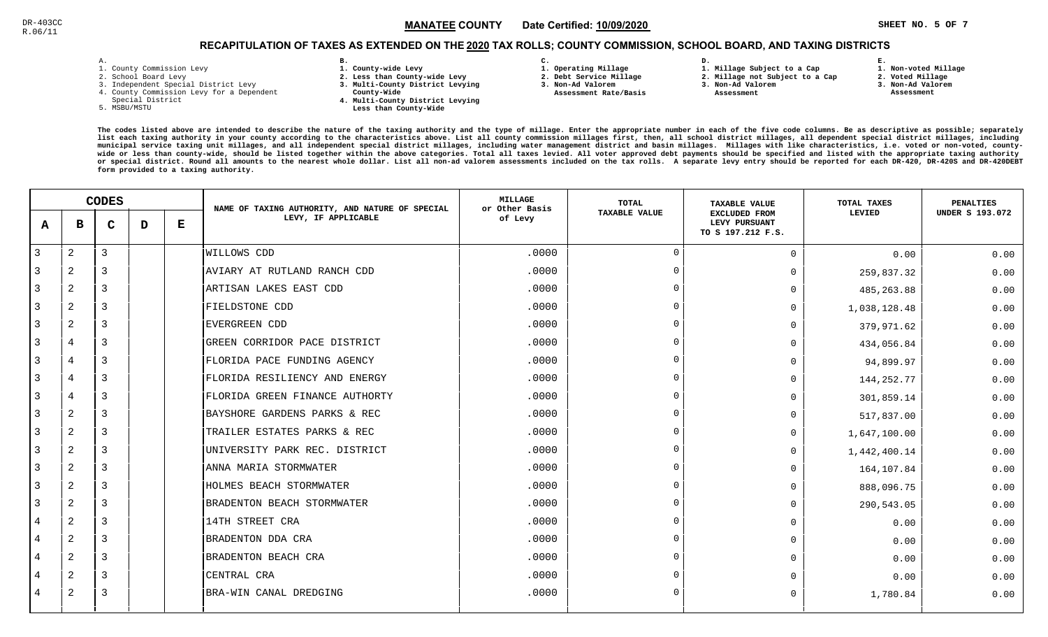### $\texttt{MANATEE COUNTY} \qquad$  Date Certified: <u>10/09/2020  $\texttt{MANATEE} \texttt{COUNTY} \qquad$  Date Certified: 10/09/2020  $\texttt{MANATEE} \texttt{COUNTY} \qquad$ </u> MANATEE CO

**1. Non-voted Millage**

# RECAPITULATION OF TAXES AS EXTENDED ON THE <u>2020</u> TAX ROLLS; COUNTY COMMISSION, SCHOOL BOARD, AND TAXING DISTRICTS

| - | ٠ |  |  |
|---|---|--|--|

- 1. County Commission Levy
- 2. School Board Levy
- 3. Independent Special District Levy
- 4. County Commission Levy for a Dependent
- Special District
- 5. MSBU/MSTU
- **B. 1. County-wide Levy**
- **2. Less than County-wide Levy**
- **3. Multi-County District Levying**
- **County-Wide** 
	- **4. Multi-County District Levying Less than County-Wide**
- **C. 1. Operating Millage**
- **2. Debt Service Millage**
- **3. Non-Ad Valorem**
- **Assessment Rate/Basis**
- **2. Millage not Subject to a Cap**

**D.** 

- **3. Non-Ad Valorem**
	- **Assessment**

**1. Millage Subject to a Cap**

- **2. Voted Millage**
	- **3. Non-Ad Valorem Assessment**

**E.**

|                | <b>CODES</b>   |   |   | NAME OF TAXING AUTHORITY, AND NATURE OF SPECIAL | <b>MILLAGE</b><br>or Other Basis | TOTAL   | <b>TAXABLE VALUE</b> | TOTAL TAXES                                                | <b>PENALTIES</b> |                        |
|----------------|----------------|---|---|-------------------------------------------------|----------------------------------|---------|----------------------|------------------------------------------------------------|------------------|------------------------|
| A              | в              | C | D | Е                                               | LEVY, IF APPLICABLE              | of Levy | <b>TAXABLE VALUE</b> | <b>EXCLUDED FROM</b><br>LEVY PURSUANT<br>TO S 197.212 F.S. | LEVIED           | <b>UNDER S 193.072</b> |
| $\overline{3}$ | $\overline{2}$ | 3 |   |                                                 | <b>WILLOWS CDD</b>               | .0000   | $\Omega$             | $\Omega$                                                   | 0.00             | 0.00                   |
| 3              | 2              | 3 |   |                                                 | AVIARY AT RUTLAND RANCH CDD      | .0000   | $\Omega$             | $\Omega$                                                   | 259,837.32       | 0.00                   |
| $\overline{3}$ | 2              | 3 |   |                                                 | ARTISAN LAKES EAST CDD           | .0000   | $\Omega$             | $\Omega$                                                   | 485,263.88       | 0.00                   |
| 3              | $\overline{2}$ | 3 |   |                                                 | FIELDSTONE CDD                   | .0000   | $\Omega$             | $\Omega$                                                   | 1,038,128.48     | 0.00                   |
| 3              | 2              | 3 |   |                                                 | EVERGREEN CDD                    | .0000   | $\Omega$             | $\Omega$                                                   | 379,971.62       | 0.00                   |
| 3              | 4              | 3 |   |                                                 | GREEN CORRIDOR PACE DISTRICT     | .0000   | $\overline{0}$       | $\Omega$                                                   | 434,056.84       | 0.00                   |
| 3              | 4              | 3 |   |                                                 | FLORIDA PACE FUNDING AGENCY      | .0000   | $\Omega$             | $\Omega$                                                   | 94,899.97        | 0.00                   |
| 3              | 4              | 3 |   |                                                 | FLORIDA RESILIENCY AND ENERGY    | .0000   | $\Omega$             | $\Omega$                                                   | 144, 252.77      | 0.00                   |
| 3              | 4              | 3 |   |                                                 | FLORIDA GREEN FINANCE AUTHORTY   | .0000   | $\Omega$             | $\Omega$                                                   | 301,859.14       | 0.00                   |
| 3              | 2              | 3 |   |                                                 | BAYSHORE GARDENS PARKS & REC     | .0000   | $\Omega$             | $\Omega$                                                   | 517,837.00       | 0.00                   |
| 3              | 2              | 3 |   |                                                 | TRAILER ESTATES PARKS & REC      | .0000   | $\Omega$             | $\Omega$                                                   | 1,647,100.00     | 0.00                   |
| 3              | $\overline{2}$ | 3 |   |                                                 | UNIVERSITY PARK REC. DISTRICT    | .0000   | $\overline{0}$       | <sup>0</sup>                                               | 1,442,400.14     | 0.00                   |
| 3              | 2              | 3 |   |                                                 | ANNA MARIA STORMWATER            | .0000   | $\Omega$             | $\Omega$                                                   | 164,107.84       | 0.00                   |
| 3              | 2              | 3 |   |                                                 | HOLMES BEACH STORMWATER          | .0000   | $\Omega$             | $\Omega$                                                   | 888,096.75       | 0.00                   |
| 3              | 2              | 3 |   |                                                 | BRADENTON BEACH STORMWATER       | .0000   | $\Omega$             | $\Omega$                                                   | 290,543.05       | 0.00                   |
| 4              | 2              | 3 |   |                                                 | 14TH STREET CRA                  | .0000   | $\Omega$             | $\Omega$                                                   | 0.00             | 0.00                   |
| 4              | 2              | 3 |   |                                                 | BRADENTON DDA CRA                | .0000   | $\Omega$             | $\Omega$                                                   | 0.00             | 0.00                   |
| 4              | 2              | 3 |   |                                                 | BRADENTON BEACH CRA              | .0000   | $\Omega$             | $\Omega$                                                   | 0.00             | 0.00                   |
| 4              | $\overline{a}$ | 3 |   |                                                 | CENTRAL CRA                      | .0000   | $\Omega$             |                                                            | 0.00             | 0.00                   |
| 4              | 2              | 3 |   |                                                 | BRA-WIN CANAL DREDGING           | .0000   | $\Omega$             | $\Omega$                                                   | 1,780.84         | 0.00                   |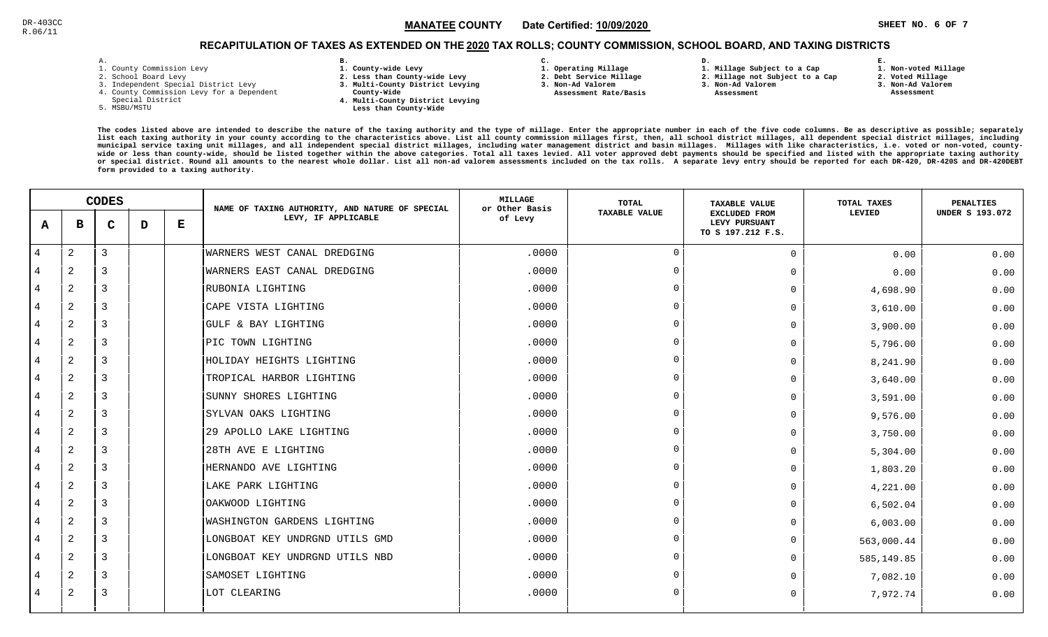### Channel 2001 - Separate Mand The Country Channel Country Channel 2012 - The Separate Separate Inc. 6 OF 7 (1990) - SHEET NO. 6 OF 7 (1990) - SHEET NO. 6 OF 7 (1990) - SHEET NO. 6 OF 7 (1990) - SHEET NO. 6 OF 7 (1990) - SHE MANATEE CO

# RECAPITULATION OF TAXES AS EXTENDED ON THE <u>2020</u> TAX ROLLS; COUNTY COMMISSION, SCHOOL BOARD, AND TAXING DISTRICTS

| ۰ |  |  |
|---|--|--|

- 1. County Commission Levy
- 2. School Board Levy
- 3. Independent Special District Levy
- 4. County Commission Levy for a Dependent
- Special District
- 5. MSBU/MSTU
- **B. 1. County-wide Levy**
- **2. Less than County-wide Levy**
- **3. Multi-County District Levying**
- **County-Wide** 
	- **4. Multi-County District Levying Less than County-Wide**
- **C.**
- **1. Operating Millage**

 **Assessment Rate/Basis**

- **2. Debt Service Millage 3. Non-Ad Valorem**
	- **3. Non-Ad Valorem**

**D.** 

 **Assessment** 

 **1. Millage Subject to a Cap2. Millage not Subject to a Cap**

- **E. 1. Non-voted Millage**
	- **2. Voted Millage**
	- **3. Non-Ad Valorem**
	- **Assessment**

|                | <b>CODES</b>   |                |   | NAME OF TAXING AUTHORITY, AND NATURE OF SPECIAL | <b>MILLAGE</b><br>or Other Basis   | <b>TOTAL</b> | <b>TAXABLE VALUE</b> | TOTAL TAXES                                                | <b>PENALTIES</b> |                        |
|----------------|----------------|----------------|---|-------------------------------------------------|------------------------------------|--------------|----------------------|------------------------------------------------------------|------------------|------------------------|
| A              | в              | $\mathbf C$    | D | ${\bf E}$                                       | LEVY, IF APPLICABLE                | of Levy      | <b>TAXABLE VALUE</b> | <b>EXCLUDED FROM</b><br>LEVY PURSUANT<br>TO S 197.212 F.S. | LEVIED           | <b>UNDER S 193.072</b> |
| $\overline{4}$ | 2              | $\mathbf{3}$   |   |                                                 | WARNERS WEST CANAL DREDGING        | .0000        | $\Omega$             | $\Omega$                                                   | 0.00             | 0.00                   |
|                | 2              | 3              |   |                                                 | WARNERS EAST CANAL DREDGING        | .0000        | $\Omega$             | 0                                                          | 0.00             | 0.00                   |
| 4              | 2              | 3              |   |                                                 | RUBONIA LIGHTING                   | .0000        | $\Omega$             | 0                                                          | 4,698.90         | 0.00                   |
| 4              | 2              | 3              |   |                                                 | CAPE VISTA LIGHTING                | .0000        | $\Omega$             | 0                                                          | 3,610.00         | 0.00                   |
| 4              | 2              | $\overline{3}$ |   |                                                 | GULF & BAY LIGHTING                | .0000        | $\Omega$             | 0                                                          | 3,900.00         | 0.00                   |
| 4              | 2              | 3              |   |                                                 | PIC TOWN LIGHTING                  | .0000        | $\Omega$             | 0                                                          | 5,796.00         | 0.00                   |
| 4              | $\overline{a}$ | 3              |   |                                                 | HOLIDAY HEIGHTS LIGHTING           | .0000        | $\Omega$             | U                                                          | 8,241.90         | 0.00                   |
| 4              | 2              | 3              |   |                                                 | TROPICAL HARBOR LIGHTING           | .0000        | - 0                  | 0                                                          | 3,640.00         | 0.00                   |
| 4              | 2              | 3              |   |                                                 | SUNNY SHORES LIGHTING              | .0000        | $\Omega$             | O.                                                         | 3,591.00         | 0.00                   |
| 4              | 2              | 3              |   |                                                 | SYLVAN OAKS LIGHTING               | .0000        | $\Omega$             | 0                                                          | 9,576.00         | 0.00                   |
| 4              | 2              | 3              |   |                                                 | 29 APOLLO LAKE LIGHTING            | .0000        | $\Omega$             | 0                                                          | 3,750.00         | 0.00                   |
|                | 2              | $\overline{3}$ |   |                                                 | 28TH AVE E LIGHTING                | .0000        | $\Omega$             | 0                                                          | 5,304.00         | 0.00                   |
| 4              | 2              | 3              |   |                                                 | HERNANDO AVE LIGHTING              | .0000        | $\Omega$             | 0                                                          | 1,803.20         | 0.00                   |
| 4              | 2              | 3              |   |                                                 | LAKE PARK LIGHTING                 | .0000        | $\Omega$             | 0                                                          | 4,221.00         | 0.00                   |
| 4              | 2              | 3              |   |                                                 | OAKWOOD LIGHTING                   | .0000        | $\Omega$             | 0                                                          | 6,502.04         | 0.00                   |
| 4              | $\mathbf{2}$   | 3              |   |                                                 | <b>WASHINGTON GARDENS LIGHTING</b> | .0000        | $\Omega$             | 0                                                          | 6,003.00         | 0.00                   |
| 4              | 2              | $\overline{3}$ |   |                                                 | LONGBOAT KEY UNDRGND UTILS GMD     | .0000        | $\Omega$             | 0                                                          | 563,000.44       | 0.00                   |
| 4              | 2              | $\overline{3}$ |   |                                                 | LONGBOAT KEY UNDRGND UTILS NBD     | .0000        | $\Omega$             | 0                                                          | 585,149.85       | 0.00                   |
| 4              | 2              | 3              |   |                                                 | SAMOSET LIGHTING                   | .0000        | $\Omega$             | U                                                          | 7,082.10         | 0.00                   |
| 4              | 2              | 3              |   |                                                 | LOT CLEARING                       | .0000        | $\Omega$             | 0                                                          | 7,972.74         | 0.00                   |